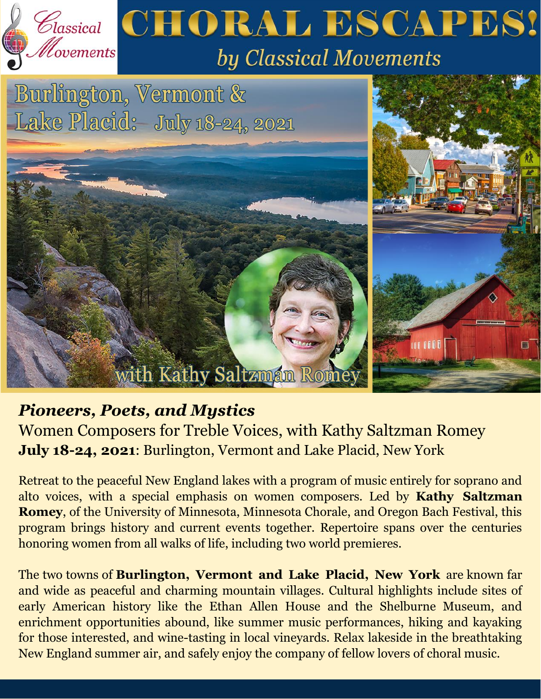

## *Pioneers, Poets, and Mystics*

Women Composers for Treble Voices, with Kathy Saltzman Romey **July 18-24, 2021**: Burlington, Vermont and Lake Placid, New York

Retreat to the peaceful New England lakes with a program of music entirely for soprano and alto voices, with a special emphasis on women composers. Led by **Kathy Saltzman Romey**, of the University of Minnesota, Minnesota Chorale, and Oregon Bach Festival, this program brings history and current events together. Repertoire spans over the centuries honoring women from all walks of life, including two world premieres.

The two towns of **Burlington, Vermont and Lake Placid, New York** are known far and wide as peaceful and charming mountain villages. Cultural highlights include sites of early American history like the Ethan Allen House and the Shelburne Museum, and enrichment opportunities abound, like summer music performances, hiking and kayaking for those interested, and wine-tasting in local vineyards. Relax lakeside in the breathtaking New England summer air, and safely enjoy the company of fellow lovers of choral music.